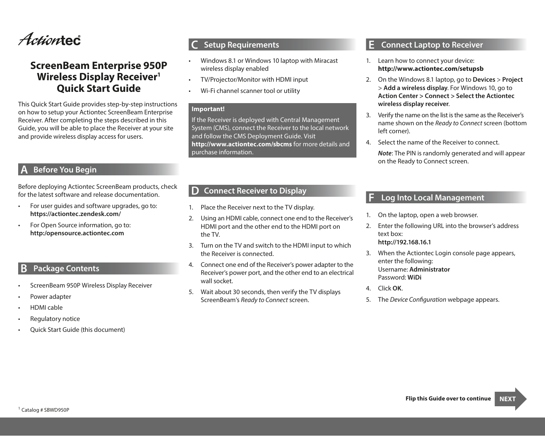

# **ScreenBeam Enterprise 950P Wireless Display Receiver1 Quick Start Guide**

This Quick Start Guide provides step-by-step instructions on how to setup your Actiontec ScreenBeam Enterprise Receiver. After completing the steps described in this Guide, you will be able to place the Receiver at your site and provide wireless display access for users.

# **A Before You Begin**

Before deploying Actiontec ScreenBeam products, check for the latest software and release documentation.

- • For user guides and software upgrades, go to: **https://actiontec.zendesk.com/**
- • For Open Source information, go to: **http:/opensource.actiontec.com**

## **B Package Contents**

- ScreenBeam 950P Wireless Display Receiver
- Power adapter
- **HDMI** cable
- Regulatory notice
- Quick Start Guide (this document)

## **C Setup Requirements**

- Windows 8.1 or Windows 10 laptop with Miracast wireless display enabled
- TV/Projector/Monitor with HDMI input
- Wi-Fi channel scanner tool or utility

#### **Important!**

If the Receiver is deployed with Central Management System (CMS), connect the Receiver to the local network and follow the CMS Deployment Guide. Visit **http://www.actiontec.com/sbcms** for more details and purchase information.

## **D Connect Receiver to Display**

- 1. Place the Receiver next to the TV display.
- 2. Using an HDMI cable, connect one end to the Receiver's HDMI port and the other end to the HDMI port on the TV.
- 3. Turn on the TV and switch to the HDMI input to which the Receiver is connected.
- 4. Connect one end of the Receiver's power adapter to the Receiver's power port, and the other end to an electrical wall socket.
- 5. Wait about 30 seconds, then verify the TV displays ScreenBeam's *Ready to Connect* screen.

## **E Connect Laptop to Receiver**

- 1. Learn how to connect your device: **http://www.actiontec.com/setupsb**
- 2. On the Windows 8.1 laptop, go to **Devices** > **Project** > **Add a wireless display**. For Windows 10, go to **Action Center > Connect > Select the Actiontec wireless display receiver**.
- 3. Verify the name on the list is the same as the Receiver's name shown on the *Ready to Connect* screen (bottom left corner).
- 4. Select the name of the Receiver to connect.

*Note*: The PIN is randomly generated and will appear on the Ready to Connect screen.

## **F Log Into Local Management**

- 1. On the laptop, open a web browser.
- 2. Enter the following URL into the browser's address text box: **http://192.168.16.1**
- 3. When the Actiontec Login console page appears, enter the following: Username: **Administrator** Password: **WiDi**
- 4. Click **OK**.
- 5. The *Device Configuration* webpage appears.